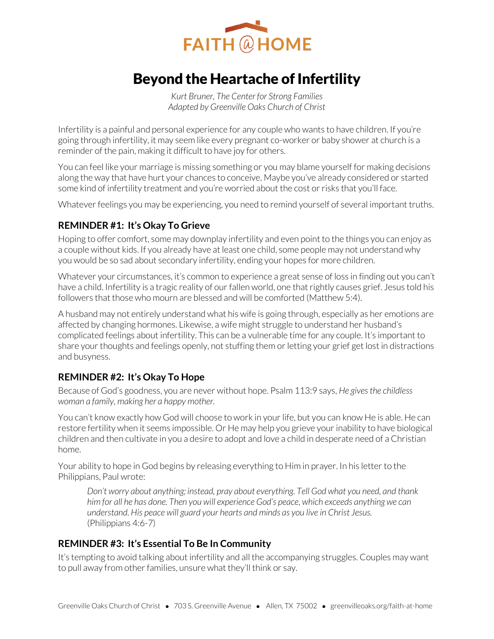

# Beyond the Heartache of Infertility

*Kurt Bruner, The Center for Strong Families Adapted by Greenville Oaks Church of Christ* 

Infertility is a painful and personal experience for any couple who wants to have children. If you're going through infertility, it may seem like every pregnant co-worker or baby shower at church is a reminder of the pain, making it difficult to have joy for others.

You can feel like your marriage is missing something or you may blame yourself for making decisions along the way that have hurt your chances to conceive. Maybe you've already considered or started some kind of infertility treatment and you're worried about the cost or risks that you'll face.

Whatever feelings you may be experiencing, you need to remind yourself of several important truths.

## **REMINDER #1: It's Okay To Grieve**

Hoping to offer comfort, some may downplay infertility and even point to the things you can enjoy as a couple without kids. If you already have at least one child, some people may not understand why you would be so sad about secondary infertility, ending your hopes for more children.

Whatever your circumstances, it's common to experience a great sense of loss in finding out you can't have a child. Infertility is a tragic reality of our fallen world, one that rightly causes grief. Jesus told his followers that those who mourn are blessed and will be comforted (Matthew 5:4).

A husband may not entirely understand what his wife is going through, especially as her emotions are affected by changing hormones. Likewise, a wife might struggle to understand her husband's complicated feelings about infertility. This can be a vulnerable time for any couple. It's important to share your thoughts and feelings openly, not stuffing them or letting your grief get lost in distractions and busyness.

## **REMINDER #2: It's Okay To Hope**

Because of God's goodness, you are never without hope. Psalm 113:9 says, *He gives the childless woman a family, making her a happy mother.*

You can't know exactly how God will choose to work in your life, but you can know He is able. He can restore fertility when it seems impossible. Or He may help you grieve your inability to have biological children and then cultivate in you a desire to adopt and love a child in desperate need of a Christian home.

Your ability to hope in God begins by releasing everything to Him in prayer. In his letter to the Philippians, Paul wrote:

*Don't worry about anything; instead, pray about everything. Tell God what you need, and thank him for all he has done. Then you will experience God's peace, which exceeds anything we can understand. His peace will guard your hearts and minds as you live in Christ Jesus.* (Philippians 4:6-7)

## **REMINDER #3: It's Essential To Be In Community**

It's tempting to avoid talking about infertility and all the accompanying struggles. Couples may want to pull away from other families, unsure what they'll think or say.